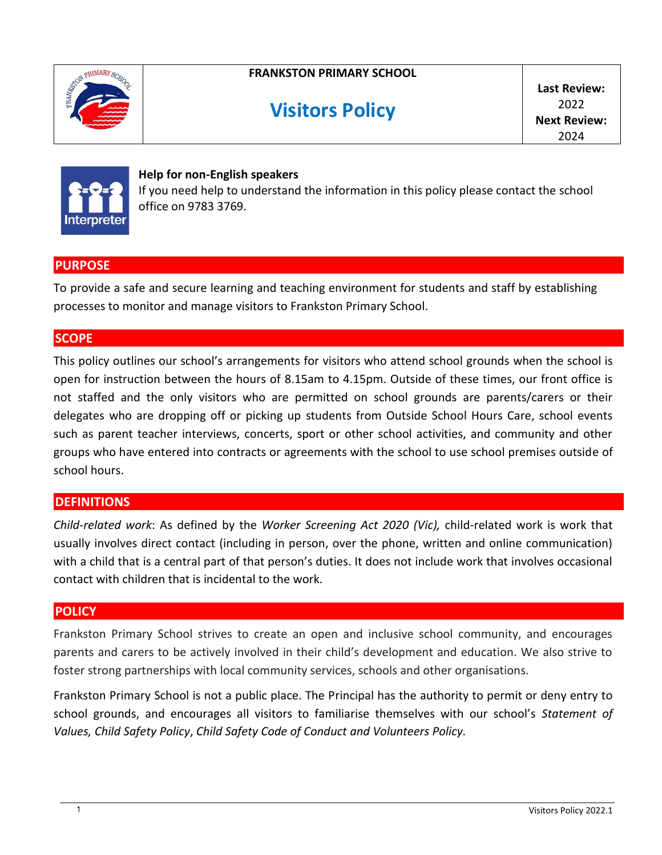

## **FRANKSTON PRIMARY SCHOOL**

# **Visitors Policy**

**Last Review:** 2022 **Next Review:** 2024



#### **Help for non-English speakers**

If you need help to understand the information in this policy please contact the school office on 9783 3769.

#### **PURPOSE**

To provide a safe and secure learning and teaching environment for students and staff by establishing processes to monitor and manage visitors to Frankston Primary School.

#### **SCOPE**

This policy outlines our school's arrangements for visitors who attend school grounds when the school is open for instruction between the hours of 8.15am to 4.15pm. Outside of these times, our front office is not staffed and the only visitors who are permitted on school grounds are parents/carers or their delegates who are dropping off or picking up students from Outside School Hours Care, school events such as parent teacher interviews, concerts, sport or other school activities, and community and other groups who have entered into contracts or agreements with the school to use school premises outside of school hours.

## **DEFINITIONS**

*Child-related work*: As defined by the *Worker Screening Act 2020 (Vic),* child-related work is work that usually involves direct contact (including in person, over the phone, written and online communication) with a child that is a central part of that person's duties. It does not include work that involves occasional contact with children that is incidental to the work.

## **POLICY**

Frankston Primary School strives to create an open and inclusive school community, and encourages parents and carers to be actively involved in their child's development and education. We also strive to foster strong partnerships with local community services, schools and other organisations.

Frankston Primary School is not a public place. The Principal has the authority to permit or deny entry to school grounds, and encourages all visitors to familiarise themselves with our school's *Statement of Values, Child Safety Policy*, *Child Safety Code of Conduct and Volunteers Policy.*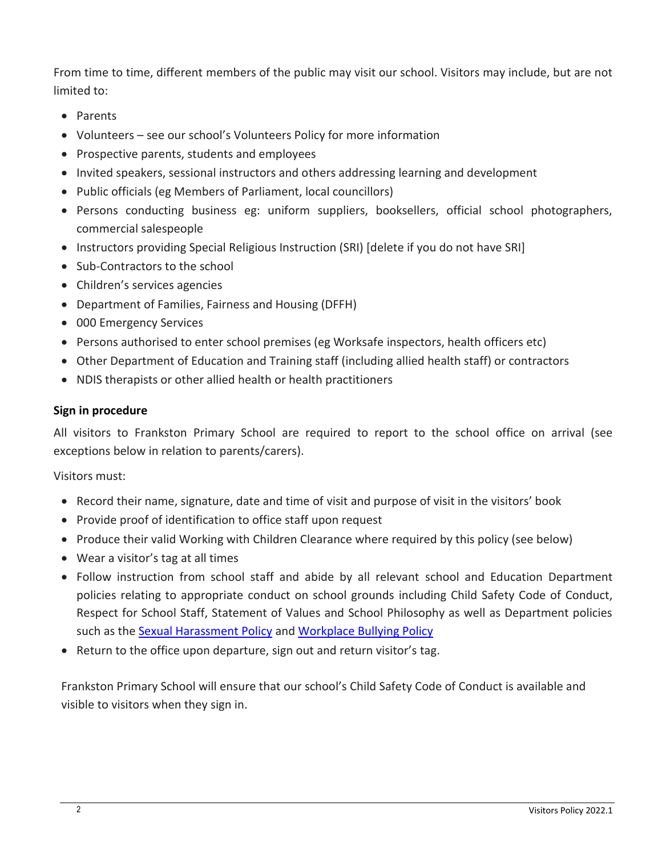From time to time, different members of the public may visit our school. Visitors may include, but are not limited to:

- Parents
- Volunteers see our school's Volunteers Policy for more information
- Prospective parents, students and employees
- Invited speakers, sessional instructors and others addressing learning and development
- Public officials (eg Members of Parliament, local councillors)
- Persons conducting business eg: uniform suppliers, booksellers, official school photographers, commercial salespeople
- Instructors providing Special Religious Instruction (SRI) [delete if you do not have SRI]
- Sub-Contractors to the school
- Children's services agencies
- Department of Families, Fairness and Housing (DFFH)
- 000 Emergency Services
- Persons authorised to enter school premises (eg Worksafe inspectors, health officers etc)
- Other Department of Education and Training staff (including allied health staff) or contractors
- NDIS therapists or other allied health or health practitioners

#### **Sign in procedure**

All visitors to Frankston Primary School are required to report to the school office on arrival (see exceptions below in relation to parents/carers).

Visitors must:

- Record their name, signature, date and time of visit and purpose of visit in the visitors' book
- Provide proof of identification to office staff upon request
- Produce their valid Working with Children Clearance where required by this policy (see below)
- Wear a visitor's tag at all times
- Follow instruction from school staff and abide by all relevant school and Education Department policies relating to appropriate conduct on school grounds including Child Safety Code of Conduct, Respect for School Staff, Statement of Values and School Philosophy as well as Department policies such as the [Sexual Harassment Policy](https://www2.education.vic.gov.au/pal/sexual-harassment/overview) and [Workplace Bullying Policy](https://www2.education.vic.gov.au/pal/workplace-bullying/policy)
- Return to the office upon departure, sign out and return visitor's tag.

Frankston Primary School will ensure that our school's Child Safety Code of Conduct is available and visible to visitors when they sign in.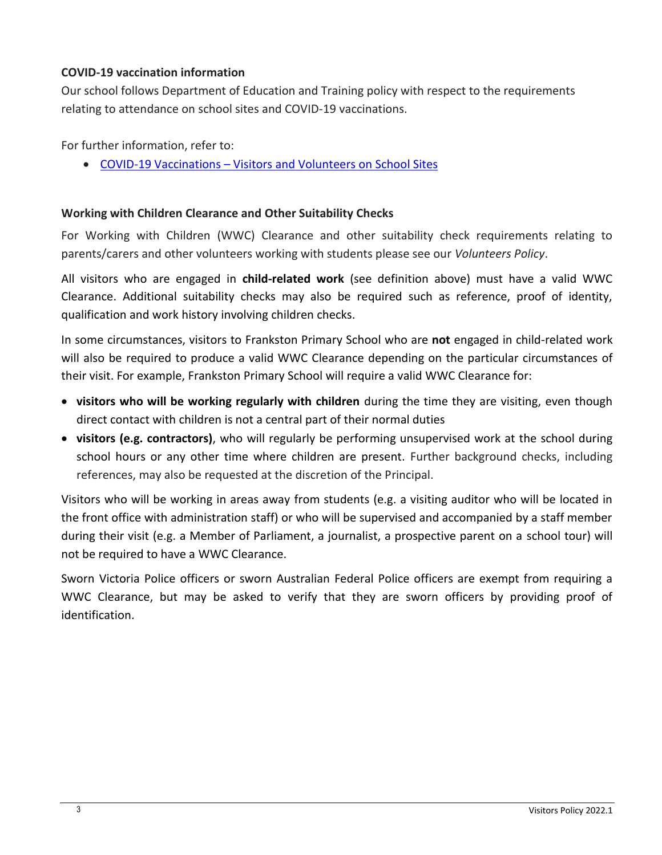#### **COVID-19 vaccination information**

Our school follows Department of Education and Training policy with respect to the requirements relating to attendance on school sites and COVID-19 vaccinations.

For further information, refer to:

COVID-19 Vaccinations – [Visitors and Volunteers on School Sites](https://www2.education.vic.gov.au/pal/covid-19-vaccinations-visitors-volunteers/policy)

## **Working with Children Clearance and Other Suitability Checks**

For Working with Children (WWC) Clearance and other suitability check requirements relating to parents/carers and other volunteers working with students please see our *Volunteers Policy*.

All visitors who are engaged in **child-related work** (see definition above) must have a valid WWC Clearance. Additional suitability checks may also be required such as reference, proof of identity, qualification and work history involving children checks.

In some circumstances, visitors to Frankston Primary School who are **not** engaged in child-related work will also be required to produce a valid WWC Clearance depending on the particular circumstances of their visit. For example, Frankston Primary School will require a valid WWC Clearance for:

- **visitors who will be working regularly with children** during the time they are visiting, even though direct contact with children is not a central part of their normal duties
- **visitors (e.g. contractors)**, who will regularly be performing unsupervised work at the school during school hours or any other time where children are present. Further background checks, including references, may also be requested at the discretion of the Principal.

Visitors who will be working in areas away from students (e.g. a visiting auditor who will be located in the front office with administration staff) or who will be supervised and accompanied by a staff member during their visit (e.g. a Member of Parliament, a journalist, a prospective parent on a school tour) will not be required to have a WWC Clearance.

Sworn Victoria Police officers or sworn Australian Federal Police officers are exempt from requiring a WWC Clearance, but may be asked to verify that they are sworn officers by providing proof of identification.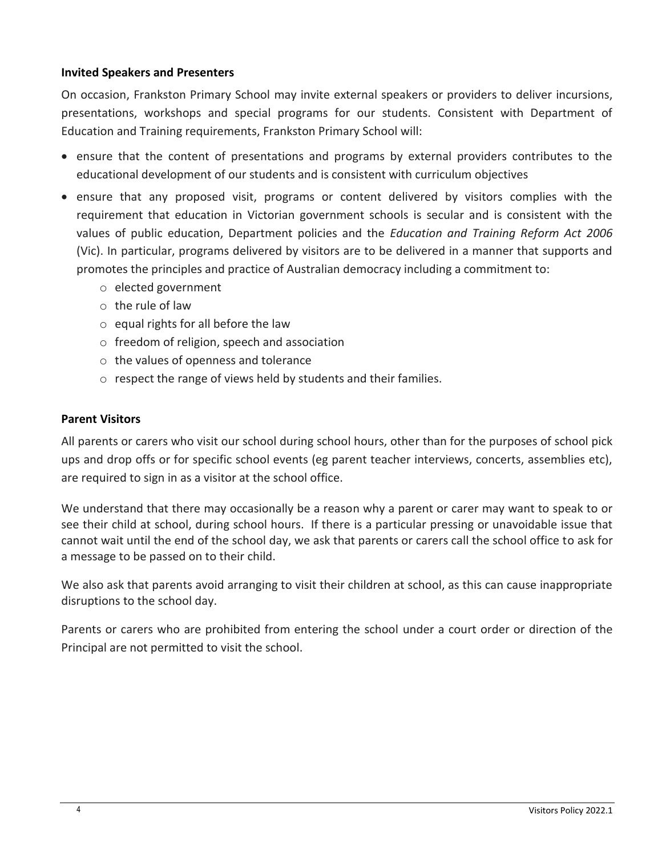#### **Invited Speakers and Presenters**

On occasion, Frankston Primary School may invite external speakers or providers to deliver incursions, presentations, workshops and special programs for our students. Consistent with Department of Education and Training requirements, Frankston Primary School will:

- ensure that the content of presentations and programs by external providers contributes to the educational development of our students and is consistent with curriculum objectives
- ensure that any proposed visit, programs or content delivered by visitors complies with the requirement that education in Victorian government schools is secular and is consistent with the values of public education, Department policies and the *Education and Training Reform Act 2006* (Vic). In particular, programs delivered by visitors are to be delivered in a manner that supports and promotes the principles and practice of Australian democracy including a commitment to:
	- o elected government
	- o the rule of law
	- $\circ$  equal rights for all before the law
	- o freedom of religion, speech and association
	- o the values of openness and tolerance
	- $\circ$  respect the range of views held by students and their families.

#### **Parent Visitors**

All parents or carers who visit our school during school hours, other than for the purposes of school pick ups and drop offs or for specific school events (eg parent teacher interviews, concerts, assemblies etc), are required to sign in as a visitor at the school office.

We understand that there may occasionally be a reason why a parent or carer may want to speak to or see their child at school, during school hours. If there is a particular pressing or unavoidable issue that cannot wait until the end of the school day, we ask that parents or carers call the school office to ask for a message to be passed on to their child.

We also ask that parents avoid arranging to visit their children at school, as this can cause inappropriate disruptions to the school day.

Parents or carers who are prohibited from entering the school under a court order or direction of the Principal are not permitted to visit the school.